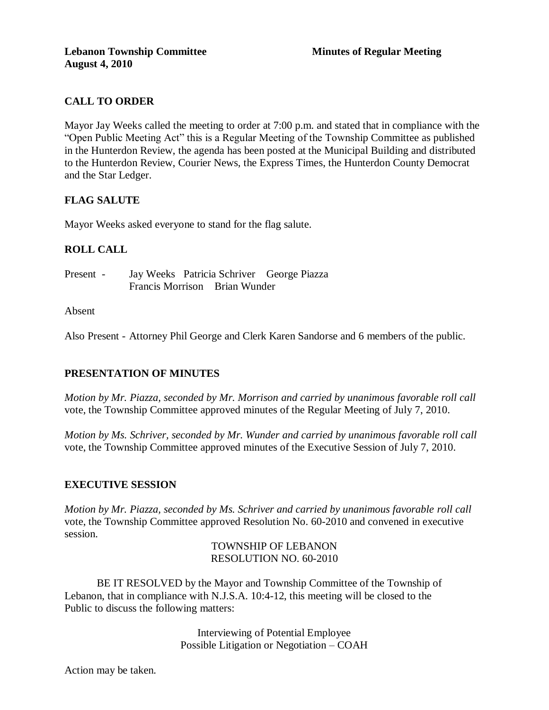## **CALL TO ORDER**

Mayor Jay Weeks called the meeting to order at 7:00 p.m. and stated that in compliance with the "Open Public Meeting Act" this is a Regular Meeting of the Township Committee as published in the Hunterdon Review, the agenda has been posted at the Municipal Building and distributed to the Hunterdon Review, Courier News, the Express Times, the Hunterdon County Democrat and the Star Ledger.

### **FLAG SALUTE**

Mayor Weeks asked everyone to stand for the flag salute.

### **ROLL CALL**

Present - Jay Weeks Patricia Schriver George Piazza Francis Morrison Brian Wunder

#### Absent

Also Present - Attorney Phil George and Clerk Karen Sandorse and 6 members of the public.

### **PRESENTATION OF MINUTES**

*Motion by Mr. Piazza, seconded by Mr. Morrison and carried by unanimous favorable roll call*  vote, the Township Committee approved minutes of the Regular Meeting of July 7, 2010.

*Motion by Ms. Schriver, seconded by Mr. Wunder and carried by unanimous favorable roll call*  vote, the Township Committee approved minutes of the Executive Session of July 7, 2010.

#### **EXECUTIVE SESSION**

*Motion by Mr. Piazza, seconded by Ms. Schriver and carried by unanimous favorable roll call*  vote, the Township Committee approved Resolution No. 60-2010 and convened in executive session.

> TOWNSHIP OF LEBANON RESOLUTION NO. 60-2010

BE IT RESOLVED by the Mayor and Township Committee of the Township of Lebanon, that in compliance with N.J.S.A. 10:4-12, this meeting will be closed to the Public to discuss the following matters:

> Interviewing of Potential Employee Possible Litigation or Negotiation – COAH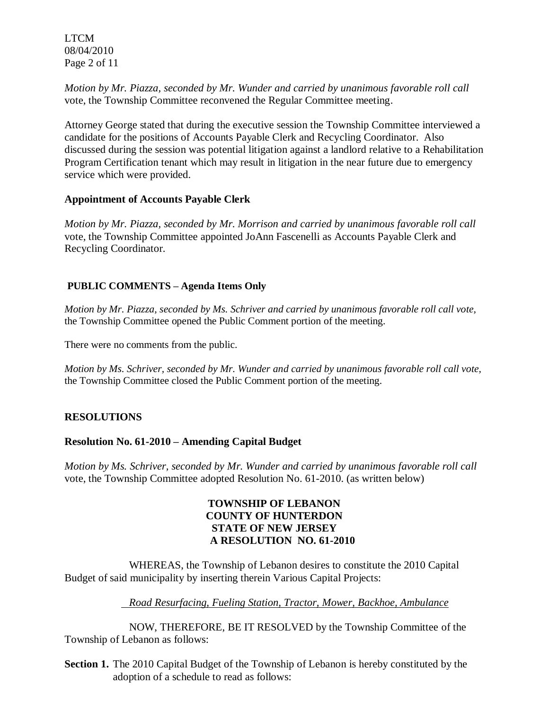LTCM 08/04/2010 Page 2 of 11

*Motion by Mr. Piazza, seconded by Mr. Wunder and carried by unanimous favorable roll call*  vote, the Township Committee reconvened the Regular Committee meeting.

Attorney George stated that during the executive session the Township Committee interviewed a candidate for the positions of Accounts Payable Clerk and Recycling Coordinator. Also discussed during the session was potential litigation against a landlord relative to a Rehabilitation Program Certification tenant which may result in litigation in the near future due to emergency service which were provided.

### **Appointment of Accounts Payable Clerk**

*Motion by Mr. Piazza, seconded by Mr. Morrison and carried by unanimous favorable roll call*  vote, the Township Committee appointed JoAnn Fascenelli as Accounts Payable Clerk and Recycling Coordinator.

### **PUBLIC COMMENTS – Agenda Items Only**

*Motion by Mr. Piazza, seconded by Ms. Schriver and carried by unanimous favorable roll call vote,*  the Township Committee opened the Public Comment portion of the meeting.

There were no comments from the public.

*Motion by Ms. Schriver, seconded by Mr. Wunder and carried by unanimous favorable roll call vote,*  the Township Committee closed the Public Comment portion of the meeting.

### **RESOLUTIONS**

#### **Resolution No. 61-2010 – Amending Capital Budget**

*Motion by Ms. Schriver, seconded by Mr. Wunder and carried by unanimous favorable roll call*  vote, the Township Committee adopted Resolution No. 61-2010. (as written below)

### **TOWNSHIP OF LEBANON COUNTY OF HUNTERDON STATE OF NEW JERSEY A RESOLUTION NO. 61-2010**

WHEREAS, the Township of Lebanon desires to constitute the 2010 Capital Budget of said municipality by inserting therein Various Capital Projects:

#### *Road Resurfacing, Fueling Station, Tractor, Mower, Backhoe, Ambulance*

NOW, THEREFORE, BE IT RESOLVED by the Township Committee of the Township of Lebanon as follows:

**Section 1.** The 2010 Capital Budget of the Township of Lebanon is hereby constituted by the adoption of a schedule to read as follows: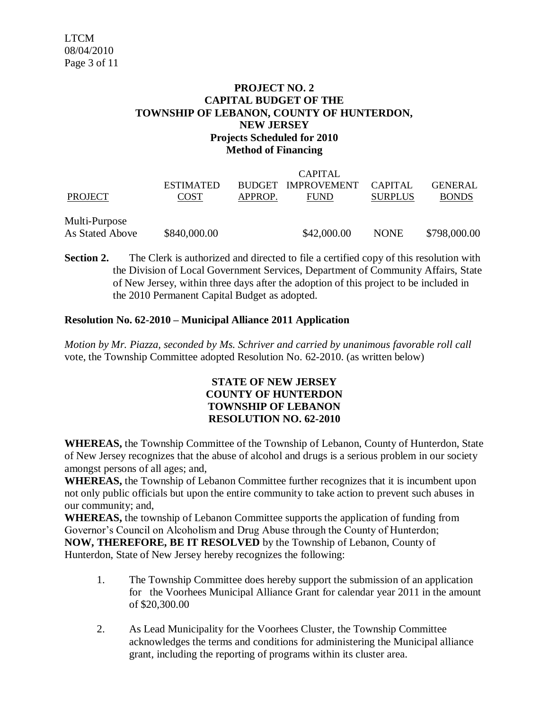# **PROJECT NO. 2 CAPITAL BUDGET OF THE TOWNSHIP OF LEBANON, COUNTY OF HUNTERDON, NEW JERSEY Projects Scheduled for 2010 Method of Financing**

|                 | <b>CAPITAL</b>   |         |                            |                |                |
|-----------------|------------------|---------|----------------------------|----------------|----------------|
|                 | <b>ESTIMATED</b> |         | BUDGET IMPROVEMENT CAPITAL |                | <b>GENERAL</b> |
| <b>PROJECT</b>  | <b>COST</b>      | APPROP. | <b>FUND</b>                | <b>SURPLUS</b> | <b>BONDS</b>   |
| Multi-Purpose   |                  |         |                            |                |                |
| As Stated Above | \$840,000.00     |         | \$42,000.00                | <b>NONE</b>    | \$798,000.00   |

**Section 2.** The Clerk is authorized and directed to file a certified copy of this resolution with the Division of Local Government Services, Department of Community Affairs, State of New Jersey, within three days after the adoption of this project to be included in the 2010 Permanent Capital Budget as adopted.

#### **Resolution No. 62-2010 – Municipal Alliance 2011 Application**

*Motion by Mr. Piazza, seconded by Ms. Schriver and carried by unanimous favorable roll call*  vote, the Township Committee adopted Resolution No. 62-2010. (as written below)

### **STATE OF NEW JERSEY COUNTY OF HUNTERDON TOWNSHIP OF LEBANON RESOLUTION NO. 62-2010**

**WHEREAS,** the Township Committee of the Township of Lebanon, County of Hunterdon, State of New Jersey recognizes that the abuse of alcohol and drugs is a serious problem in our society amongst persons of all ages; and,

**WHEREAS,** the Township of Lebanon Committee further recognizes that it is incumbent upon not only public officials but upon the entire community to take action to prevent such abuses in our community; and,

**WHEREAS,** the township of Lebanon Committee supports the application of funding from Governor's Council on Alcoholism and Drug Abuse through the County of Hunterdon; **NOW, THEREFORE, BE IT RESOLVED** by the Township of Lebanon, County of Hunterdon, State of New Jersey hereby recognizes the following:

- 1. The Township Committee does hereby support the submission of an application for the Voorhees Municipal Alliance Grant for calendar year 2011 in the amount of \$20,300.00
- 2. As Lead Municipality for the Voorhees Cluster, the Township Committee acknowledges the terms and conditions for administering the Municipal alliance grant, including the reporting of programs within its cluster area.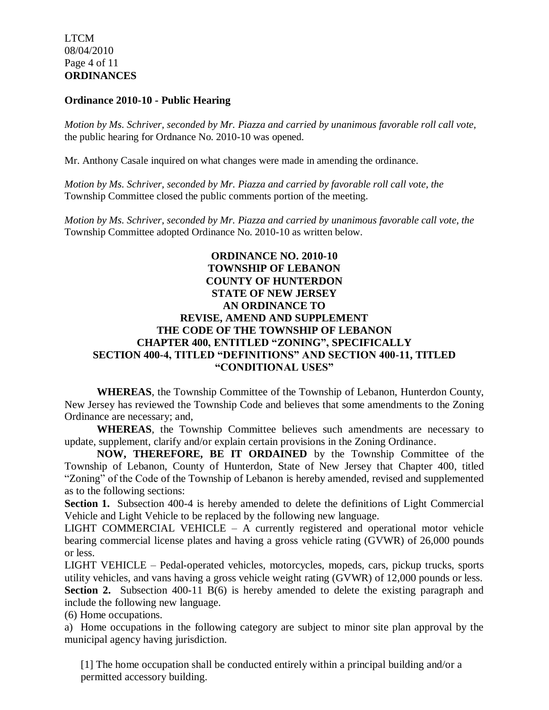### LTCM 08/04/2010 Page 4 of 11 **ORDINANCES**

#### **Ordinance 2010-10 - Public Hearing**

*Motion by Ms. Schriver, seconded by Mr. Piazza and carried by unanimous favorable roll call vote,*  the public hearing for Ordnance No. 2010-10 was opened.

Mr. Anthony Casale inquired on what changes were made in amending the ordinance.

*Motion by Ms. Schriver, seconded by Mr. Piazza and carried by favorable roll call vote, the*  Township Committee closed the public comments portion of the meeting.

*Motion by Ms. Schriver, seconded by Mr. Piazza and carried by unanimous favorable call vote, the*  Township Committee adopted Ordinance No. 2010-10 as written below.

### **ORDINANCE NO. 2010-10 TOWNSHIP OF LEBANON COUNTY OF HUNTERDON STATE OF NEW JERSEY AN ORDINANCE TO REVISE, AMEND AND SUPPLEMENT THE CODE OF THE TOWNSHIP OF LEBANON CHAPTER 400, ENTITLED "ZONING", SPECIFICALLY SECTION 400-4, TITLED "DEFINITIONS" AND SECTION 400-11, TITLED "CONDITIONAL USES"**

**WHEREAS**, the Township Committee of the Township of Lebanon, Hunterdon County, New Jersey has reviewed the Township Code and believes that some amendments to the Zoning Ordinance are necessary; and,

**WHEREAS**, the Township Committee believes such amendments are necessary to update, supplement, clarify and/or explain certain provisions in the Zoning Ordinance.

**NOW, THEREFORE, BE IT ORDAINED** by the Township Committee of the Township of Lebanon, County of Hunterdon, State of New Jersey that Chapter 400, titled "Zoning" of the Code of the Township of Lebanon is hereby amended, revised and supplemented as to the following sections:

**Section 1.** Subsection 400-4 is hereby amended to delete the definitions of Light Commercial Vehicle and Light Vehicle to be replaced by the following new language.

LIGHT COMMERCIAL VEHICLE – A currently registered and operational motor vehicle bearing commercial license plates and having a gross vehicle rating (GVWR) of 26,000 pounds or less.

LIGHT VEHICLE – Pedal-operated vehicles, motorcycles, mopeds, cars, pickup trucks, sports utility vehicles, and vans having a gross vehicle weight rating (GVWR) of 12,000 pounds or less. **Section 2.** Subsection 400-11 B(6) is hereby amended to delete the existing paragraph and include the following new language.

(6) Home occupations.

a) Home occupations in the following category are subject to minor site plan approval by the municipal agency having jurisdiction.

[1] The home occupation shall be conducted entirely within a principal building and/or a permitted accessory building.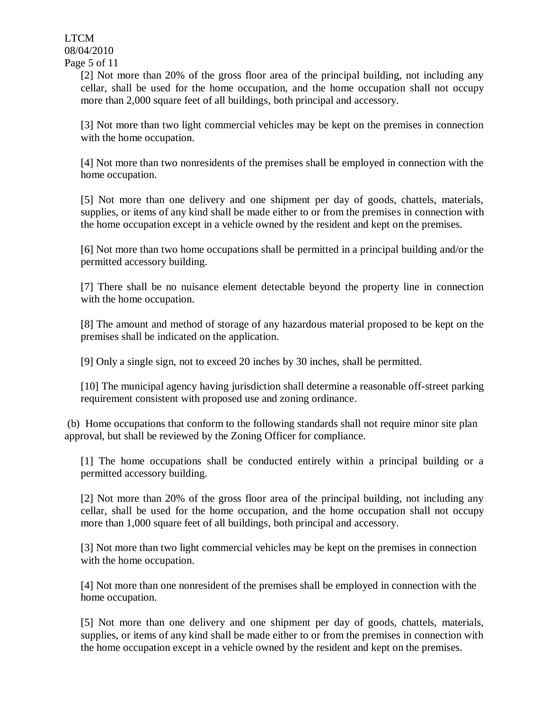LTCM 08/04/2010 Page 5 of 11

> [2] Not more than 20% of the gross floor area of the principal building, not including any cellar, shall be used for the home occupation, and the home occupation shall not occupy more than 2,000 square feet of all buildings, both principal and accessory.

> [3] Not more than two light commercial vehicles may be kept on the premises in connection with the home occupation.

> [4] Not more than two nonresidents of the premises shall be employed in connection with the home occupation.

> [5] Not more than one delivery and one shipment per day of goods, chattels, materials, supplies, or items of any kind shall be made either to or from the premises in connection with the home occupation except in a vehicle owned by the resident and kept on the premises.

> [6] Not more than two home occupations shall be permitted in a principal building and/or the permitted accessory building.

> [7] There shall be no nuisance element detectable beyond the property line in connection with the home occupation.

> [8] The amount and method of storage of any hazardous material proposed to be kept on the premises shall be indicated on the application.

[9] Only a single sign, not to exceed 20 inches by 30 inches, shall be permitted.

[10] The municipal agency having jurisdiction shall determine a reasonable off-street parking requirement consistent with proposed use and zoning ordinance.

(b) Home occupations that conform to the following standards shall not require minor site plan approval, but shall be reviewed by the Zoning Officer for compliance.

[1] The home occupations shall be conducted entirely within a principal building or a permitted accessory building.

[2] Not more than 20% of the gross floor area of the principal building, not including any cellar, shall be used for the home occupation, and the home occupation shall not occupy more than 1,000 square feet of all buildings, both principal and accessory.

[3] Not more than two light commercial vehicles may be kept on the premises in connection with the home occupation.

[4] Not more than one nonresident of the premises shall be employed in connection with the home occupation.

[5] Not more than one delivery and one shipment per day of goods, chattels, materials, supplies, or items of any kind shall be made either to or from the premises in connection with the home occupation except in a vehicle owned by the resident and kept on the premises.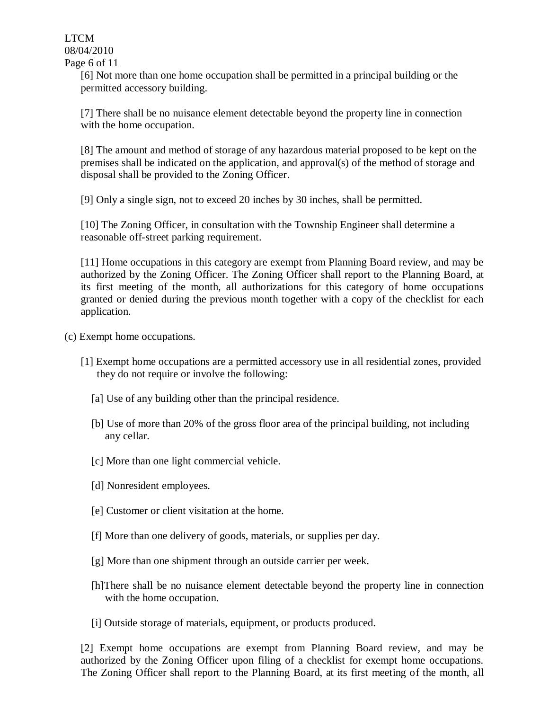LTCM 08/04/2010 Page 6 of 11

> [6] Not more than one home occupation shall be permitted in a principal building or the permitted accessory building.

[7] There shall be no nuisance element detectable beyond the property line in connection with the home occupation.

[8] The amount and method of storage of any hazardous material proposed to be kept on the premises shall be indicated on the application, and approval(s) of the method of storage and disposal shall be provided to the Zoning Officer.

[9] Only a single sign, not to exceed 20 inches by 30 inches, shall be permitted.

[10] The Zoning Officer, in consultation with the Township Engineer shall determine a reasonable off-street parking requirement.

[11] Home occupations in this category are exempt from Planning Board review, and may be authorized by the Zoning Officer. The Zoning Officer shall report to the Planning Board, at its first meeting of the month, all authorizations for this category of home occupations granted or denied during the previous month together with a copy of the checklist for each application.

- (c) Exempt home occupations*.* 
	- [1] Exempt home occupations are a permitted accessory use in all residential zones, provided they do not require or involve the following:
		- [a] Use of any building other than the principal residence.
		- [b] Use of more than 20% of the gross floor area of the principal building, not including any cellar.
		- [c] More than one light commercial vehicle.
		- [d] Nonresident employees.
		- [e] Customer or client visitation at the home.
		- [f] More than one delivery of goods, materials, or supplies per day.
		- [g] More than one shipment through an outside carrier per week.
		- [h]There shall be no nuisance element detectable beyond the property line in connection with the home occupation.
		- [i] Outside storage of materials, equipment, or products produced.

[2] Exempt home occupations are exempt from Planning Board review, and may be authorized by the Zoning Officer upon filing of a checklist for exempt home occupations. The Zoning Officer shall report to the Planning Board, at its first meeting of the month, all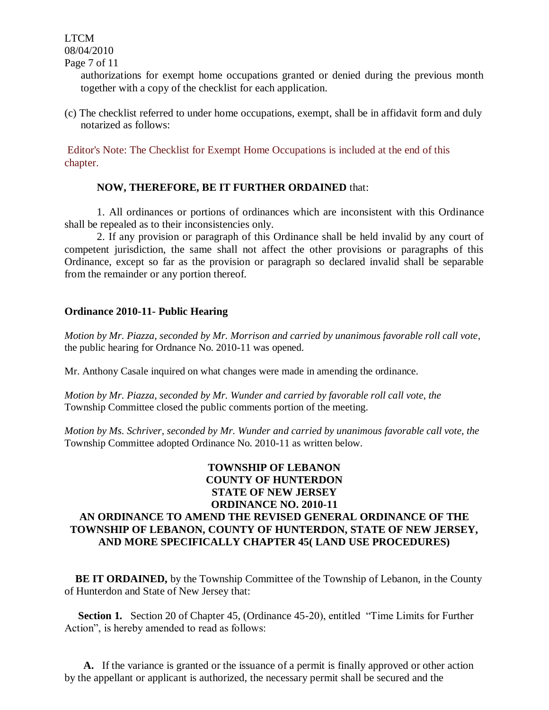LTCM 08/04/2010

Page 7 of 11

authorizations for exempt home occupations granted or denied during the previous month together with a copy of the checklist for each application.

(c) The checklist referred to under home occupations, exempt, shall be in affidavit form and duly notarized as follows:

Editor's Note: The Checklist for Exempt Home Occupations is included at the end of this chapter.

### **NOW, THEREFORE, BE IT FURTHER ORDAINED** that:

1. All ordinances or portions of ordinances which are inconsistent with this Ordinance shall be repealed as to their inconsistencies only.

2. If any provision or paragraph of this Ordinance shall be held invalid by any court of competent jurisdiction, the same shall not affect the other provisions or paragraphs of this Ordinance, except so far as the provision or paragraph so declared invalid shall be separable from the remainder or any portion thereof.

#### **Ordinance 2010-11- Public Hearing**

*Motion by Mr. Piazza, seconded by Mr. Morrison and carried by unanimous favorable roll call vote,*  the public hearing for Ordnance No. 2010-11 was opened.

Mr. Anthony Casale inquired on what changes were made in amending the ordinance.

*Motion by Mr. Piazza, seconded by Mr. Wunder and carried by favorable roll call vote, the*  Township Committee closed the public comments portion of the meeting.

*Motion by Ms. Schriver, seconded by Mr. Wunder and carried by unanimous favorable call vote, the*  Township Committee adopted Ordinance No. 2010-11 as written below.

### **TOWNSHIP OF LEBANON COUNTY OF HUNTERDON STATE OF NEW JERSEY ORDINANCE NO. 2010-11 AN ORDINANCE TO AMEND THE REVISED GENERAL ORDINANCE OF THE TOWNSHIP OF LEBANON, COUNTY OF HUNTERDON, STATE OF NEW JERSEY, AND MORE SPECIFICALLY CHAPTER 45( LAND USE PROCEDURES)**

**BE IT ORDAINED,** by the Township Committee of the Township of Lebanon, in the County of Hunterdon and State of New Jersey that:

 **Section 1.** Section 20 of Chapter 45, (Ordinance 45-20), entitled "Time Limits for Further Action", is hereby amended to read as follows:

 **A.** If the variance is granted or the issuance of a permit is finally approved or other action by the appellant or applicant is authorized, the necessary permit shall be secured and the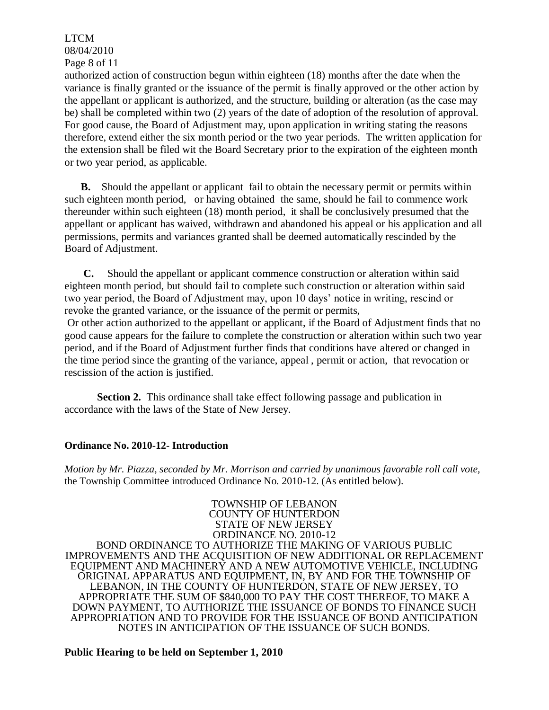LTCM 08/04/2010 Page 8 of 11

authorized action of construction begun within eighteen (18) months after the date when the variance is finally granted or the issuance of the permit is finally approved or the other action by the appellant or applicant is authorized, and the structure, building or alteration (as the case may be) shall be completed within two (2) years of the date of adoption of the resolution of approval. For good cause, the Board of Adjustment may, upon application in writing stating the reasons therefore, extend either the six month period or the two year periods. The written application for the extension shall be filed wit the Board Secretary prior to the expiration of the eighteen month or two year period, as applicable.

**B.** Should the appellant or applicant fail to obtain the necessary permit or permits within such eighteen month period, or having obtainedthe same, should he fail to commence work thereunder within such eighteen (18) month period, it shall be conclusively presumed that the appellant or applicant has waived, withdrawn and abandoned his appeal or his application and all permissions, permits and variances granted shall be deemed automatically rescinded by the Board of Adjustment.

 **C.** Should the appellant or applicant commence construction or alteration within said eighteen month period, but should fail to complete such construction or alteration within said two year period, the Board of Adjustment may, upon 10 days' notice in writing, rescind or revoke the granted variance, or the issuance of the permit or permits,

Or other action authorized to the appellant or applicant, if the Board of Adjustment finds that no good cause appears for the failure to complete the construction or alteration within such two year period, and if the Board of Adjustment further finds that conditions have altered or changed in the time period since the granting of the variance, appeal , permit or action, that revocation or rescission of the action is justified.

**Section 2.** This ordinance shall take effect following passage and publication in accordance with the laws of the State of New Jersey.

#### **Ordinance No. 2010-12- Introduction**

*Motion by Mr. Piazza, seconded by Mr. Morrison and carried by unanimous favorable roll call vote,*  the Township Committee introduced Ordinance No. 2010-12. (As entitled below).

TOWNSHIP OF LEBANON COUNTY OF HUNTERDON STATE OF NEW JERSEY ORDINANCE NO. 2010-12 BOND ORDINANCE TO AUTHORIZE THE MAKING OF VARIOUS PUBLIC IMPROVEMENTS AND THE ACQUISITION OF NEW ADDITIONAL OR REPLACEMENT EQUIPMENT AND MACHINERY AND A NEW AUTOMOTIVE VEHICLE, INCLUDING ORIGINAL APPARATUS AND EQUIPMENT, IN, BY AND FOR THE TOWNSHIP OF LEBANON, IN THE COUNTY OF HUNTERDON, STATE OF NEW JERSEY, TO APPROPRIATE THE SUM OF \$840,000 TO PAY THE COST THEREOF, TO MAKE A DOWN PAYMENT, TO AUTHORIZE THE ISSUANCE OF BONDS TO FINANCE SUCH APPROPRIATION AND TO PROVIDE FOR THE ISSUANCE OF BOND ANTICIPATION NOTES IN ANTICIPATION OF THE ISSUANCE OF SUCH BONDS.

#### **Public Hearing to be held on September 1, 2010**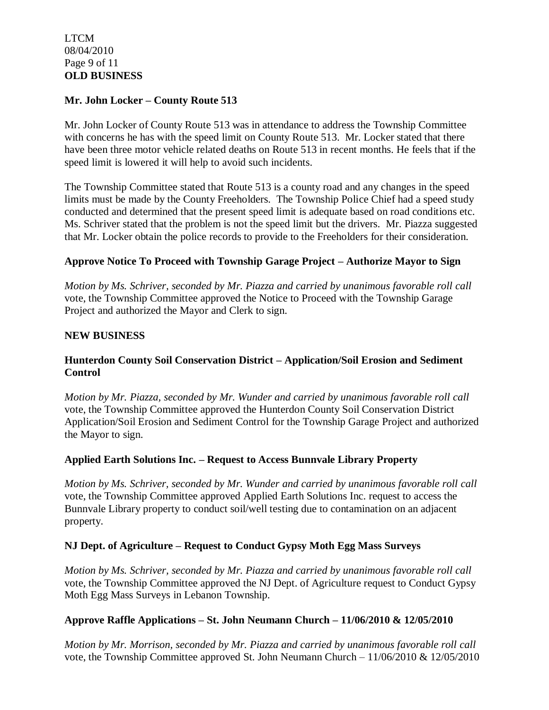### LTCM 08/04/2010 Page 9 of 11 **OLD BUSINESS**

### **Mr. John Locker – County Route 513**

Mr. John Locker of County Route 513 was in attendance to address the Township Committee with concerns he has with the speed limit on County Route 513. Mr. Locker stated that there have been three motor vehicle related deaths on Route 513 in recent months. He feels that if the speed limit is lowered it will help to avoid such incidents.

The Township Committee stated that Route 513 is a county road and any changes in the speed limits must be made by the County Freeholders. The Township Police Chief had a speed study conducted and determined that the present speed limit is adequate based on road conditions etc. Ms. Schriver stated that the problem is not the speed limit but the drivers. Mr. Piazza suggested that Mr. Locker obtain the police records to provide to the Freeholders for their consideration.

### **Approve Notice To Proceed with Township Garage Project – Authorize Mayor to Sign**

*Motion by Ms. Schriver, seconded by Mr. Piazza and carried by unanimous favorable roll call* vote, the Township Committee approved the Notice to Proceed with the Township Garage Project and authorized the Mayor and Clerk to sign.

### **NEW BUSINESS**

### **Hunterdon County Soil Conservation District – Application/Soil Erosion and Sediment Control**

*Motion by Mr. Piazza, seconded by Mr. Wunder and carried by unanimous favorable roll call* vote, the Township Committee approved the Hunterdon County Soil Conservation District Application/Soil Erosion and Sediment Control for the Township Garage Project and authorized the Mayor to sign.

#### **Applied Earth Solutions Inc. – Request to Access Bunnvale Library Property**

*Motion by Ms. Schriver, seconded by Mr. Wunder and carried by unanimous favorable roll call* vote, the Township Committee approved Applied Earth Solutions Inc. request to access the Bunnvale Library property to conduct soil/well testing due to contamination on an adjacent property.

#### **NJ Dept. of Agriculture – Request to Conduct Gypsy Moth Egg Mass Surveys**

*Motion by Ms. Schriver, seconded by Mr. Piazza and carried by unanimous favorable roll call* vote, the Township Committee approved the NJ Dept. of Agriculture request to Conduct Gypsy Moth Egg Mass Surveys in Lebanon Township.

#### **Approve Raffle Applications – St. John Neumann Church – 11/06/2010 & 12/05/2010**

*Motion by Mr. Morrison, seconded by Mr. Piazza and carried by unanimous favorable roll call* vote, the Township Committee approved St. John Neumann Church –  $11/06/2010 \& 12/05/2010$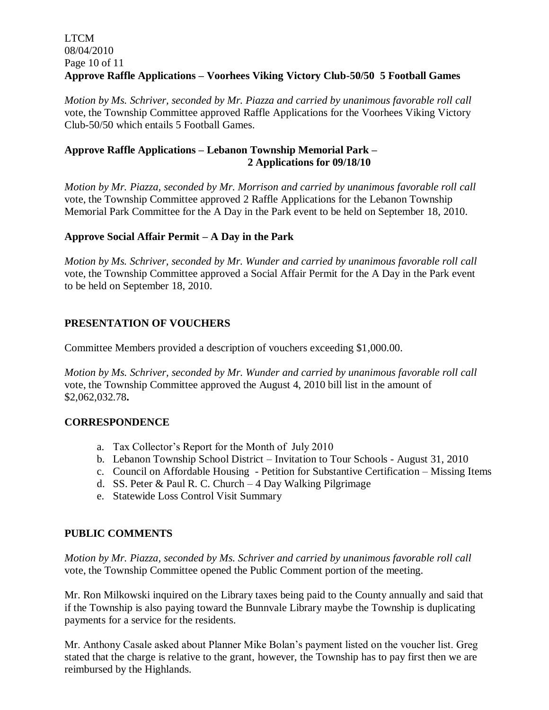### LTCM 08/04/2010 Page 10 of 11 **Approve Raffle Applications – Voorhees Viking Victory Club-50/50 5 Football Games**

*Motion by Ms. Schriver, seconded by Mr. Piazza and carried by unanimous favorable roll call* vote, the Township Committee approved Raffle Applications for the Voorhees Viking Victory Club-50/50 which entails 5 Football Games.

## **Approve Raffle Applications – Lebanon Township Memorial Park – 2 Applications for 09/18/10**

*Motion by Mr. Piazza, seconded by Mr. Morrison and carried by unanimous favorable roll call* vote, the Township Committee approved 2 Raffle Applications for the Lebanon Township Memorial Park Committee for the A Day in the Park event to be held on September 18, 2010.

### **Approve Social Affair Permit – A Day in the Park**

*Motion by Ms. Schriver, seconded by Mr. Wunder and carried by unanimous favorable roll call*  vote, the Township Committee approved a Social Affair Permit for the A Day in the Park event to be held on September 18, 2010.

# **PRESENTATION OF VOUCHERS**

Committee Members provided a description of vouchers exceeding \$1,000.00.

*Motion by Ms. Schriver, seconded by Mr. Wunder and carried by unanimous favorable roll call* vote, the Township Committee approved the August 4, 2010 bill list in the amount of \$2,062,032.78**.**

### **CORRESPONDENCE**

- a. Tax Collector's Report for the Month of July 2010
- b. Lebanon Township School District Invitation to Tour Schools August 31, 2010
- c. Council on Affordable Housing Petition for Substantive Certification Missing Items
- d. SS. Peter & Paul R. C. Church 4 Day Walking Pilgrimage
- e. Statewide Loss Control Visit Summary

### **PUBLIC COMMENTS**

*Motion by Mr. Piazza, seconded by Ms. Schriver and carried by unanimous favorable roll call*  vote, the Township Committee opened the Public Comment portion of the meeting.

Mr. Ron Milkowski inquired on the Library taxes being paid to the County annually and said that if the Township is also paying toward the Bunnvale Library maybe the Township is duplicating payments for a service for the residents.

Mr. Anthony Casale asked about Planner Mike Bolan's payment listed on the voucher list. Greg stated that the charge is relative to the grant, however, the Township has to pay first then we are reimbursed by the Highlands.